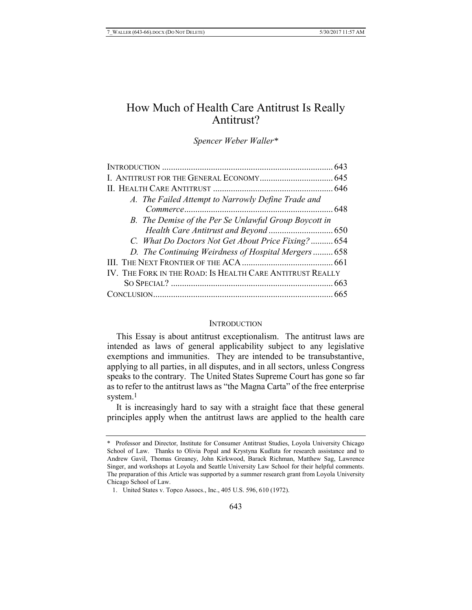# How Much of Health Care Antitrust Is Really Antitrust?

*Spencer Weber Waller\**

| A. The Failed Attempt to Narrowly Define Trade and        |  |
|-----------------------------------------------------------|--|
|                                                           |  |
| B. The Demise of the Per Se Unlawful Group Boycott in     |  |
|                                                           |  |
| C. What Do Doctors Not Get About Price Fixing? 654        |  |
| D. The Continuing Weirdness of Hospital Mergers  658      |  |
|                                                           |  |
| IV. THE FORK IN THE ROAD: IS HEALTH CARE ANTITRUST REALLY |  |
|                                                           |  |
|                                                           |  |

#### **INTRODUCTION**

This Essay is about antitrust exceptionalism. The antitrust laws are intended as laws of general applicability subject to any legislative exemptions and immunities. They are intended to be transubstantive, applying to all parties, in all disputes, and in all sectors, unless Congress speaks to the contrary. The United States Supreme Court has gone so far as to refer to the antitrust laws as "the Magna Carta" of the free enterprise system.<sup>1</sup>

It is increasingly hard to say with a straight face that these general principles apply when the antitrust laws are applied to the health care

<sup>\*</sup> Professor and Director, Institute for Consumer Antitrust Studies, Loyola University Chicago School of Law. Thanks to Olivia Popal and Krystyna Kudlata for research assistance and to Andrew Gavil, Thomas Greaney, John Kirkwood, Barack Richman, Matthew Sag, Lawrence Singer, and workshops at Loyola and Seattle University Law School for their helpful comments. The preparation of this Article was supported by a summer research grant from Loyola University Chicago School of Law.

<sup>1.</sup> United States v. Topco Assocs., Inc., 405 U.S. 596, 610 (1972).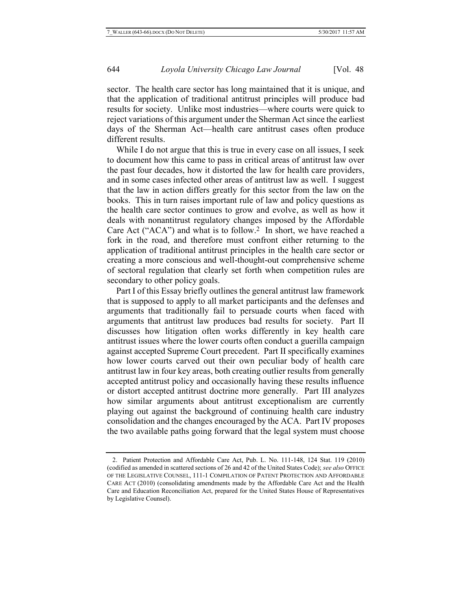sector. The health care sector has long maintained that it is unique, and that the application of traditional antitrust principles will produce bad results for society. Unlike most industries—where courts were quick to reject variations of this argument under the Sherman Act since the earliest days of the Sherman Act—health care antitrust cases often produce different results.

While I do not argue that this is true in every case on all issues, I seek to document how this came to pass in critical areas of antitrust law over the past four decades, how it distorted the law for health care providers, and in some cases infected other areas of antitrust law as well. I suggest that the law in action differs greatly for this sector from the law on the books. This in turn raises important rule of law and policy questions as the health care sector continues to grow and evolve, as well as how it deals with nonantitrust regulatory changes imposed by the Affordable Care Act ("ACA") and what is to follow. 2 In short, we have reached a fork in the road, and therefore must confront either returning to the application of traditional antitrust principles in the health care sector or creating a more conscious and well-thought-out comprehensive scheme of sectoral regulation that clearly set forth when competition rules are secondary to other policy goals.

Part I of this Essay briefly outlines the general antitrust law framework that is supposed to apply to all market participants and the defenses and arguments that traditionally fail to persuade courts when faced with arguments that antitrust law produces bad results for society. Part II discusses how litigation often works differently in key health care antitrust issues where the lower courts often conduct a guerilla campaign against accepted Supreme Court precedent. Part II specifically examines how lower courts carved out their own peculiar body of health care antitrust law in four key areas, both creating outlier results from generally accepted antitrust policy and occasionally having these results influence or distort accepted antitrust doctrine more generally. Part III analyzes how similar arguments about antitrust exceptionalism are currently playing out against the background of continuing health care industry consolidation and the changes encouraged by the ACA. Part IV proposes the two available paths going forward that the legal system must choose

<sup>2.</sup> Patient Protection and Affordable Care Act, Pub. L. No. 111-148, 124 Stat. 119 (2010) (codified as amended in scattered sections of 26 and 42 of the United States Code); *see also* OFFICE OF THE LEGISLATIVE COUNSEL, 111-1 COMPILATION OF PATENT PROTECTION AND AFFORDABLE CARE ACT (2010) (consolidating amendments made by the Affordable Care Act and the Health Care and Education Reconciliation Act, prepared for the United States House of Representatives by Legislative Counsel).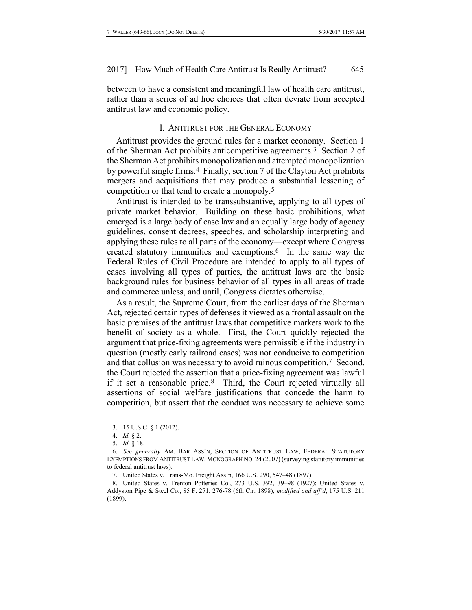between to have a consistent and meaningful law of health care antitrust, rather than a series of ad hoc choices that often deviate from accepted antitrust law and economic policy.

# I. ANTITRUST FOR THE GENERAL ECONOMY

Antitrust provides the ground rules for a market economy. Section 1 of the Sherman Act prohibits anticompetitive agreements.3 Section 2 of the Sherman Act prohibits monopolization and attempted monopolization by powerful single firms.4 Finally, section 7 of the Clayton Act prohibits mergers and acquisitions that may produce a substantial lessening of competition or that tend to create a monopoly.5

Antitrust is intended to be transsubstantive, applying to all types of private market behavior. Building on these basic prohibitions, what emerged is a large body of case law and an equally large body of agency guidelines, consent decrees, speeches, and scholarship interpreting and applying these rules to all parts of the economy—except where Congress created statutory immunities and exemptions.6 In the same way the Federal Rules of Civil Procedure are intended to apply to all types of cases involving all types of parties, the antitrust laws are the basic background rules for business behavior of all types in all areas of trade and commerce unless, and until, Congress dictates otherwise.

As a result, the Supreme Court, from the earliest days of the Sherman Act, rejected certain types of defenses it viewed as a frontal assault on the basic premises of the antitrust laws that competitive markets work to the benefit of society as a whole. First, the Court quickly rejected the argument that price-fixing agreements were permissible if the industry in question (mostly early railroad cases) was not conducive to competition and that collusion was necessary to avoid ruinous competition.7 Second, the Court rejected the assertion that a price-fixing agreement was lawful if it set a reasonable price.8 Third, the Court rejected virtually all assertions of social welfare justifications that concede the harm to competition, but assert that the conduct was necessary to achieve some

<span id="page-2-0"></span><sup>3.</sup> 15 U.S.C. § 1 (2012).

<sup>4.</sup> *Id.* § 2.

<sup>5.</sup> *Id.* § 18.

<sup>6.</sup> *See generally* AM. BAR ASS'N, SECTION OF ANTITRUST LAW, FEDERAL STATUTORY EXEMPTIONS FROM ANTITRUST LAW, MONOGRAPH NO. 24 (2007) (surveying statutory immunities to federal antitrust laws).

<sup>7.</sup> United States v. Trans-Mo. Freight Ass'n, 166 U.S. 290, 547–48 (1897).

<sup>8.</sup> United States v. Trenton Potteries Co., 273 U.S. 392, 39–98 (1927); United States v. Addyston Pipe & Steel Co., 85 F. 271, 276-78 (6th Cir. 1898), *modified and aff'd*, 175 U.S. 211 (1899).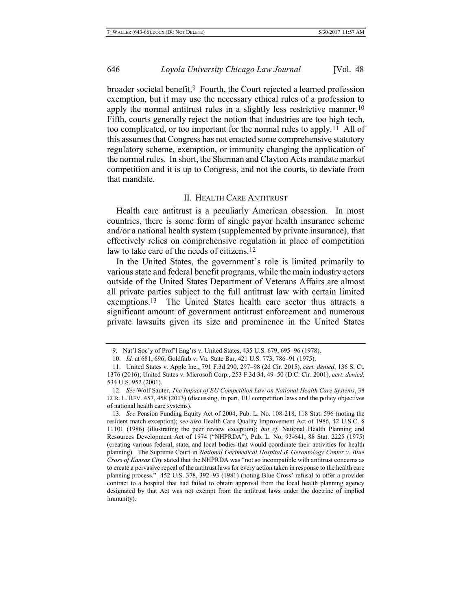broader societal benefit.9 Fourth, the Court rejected a learned profession exemption, but it may use the necessary ethical rules of a profession to apply the normal antitrust rules in a slightly less restrictive manner.10 Fifth, courts generally reject the notion that industries are too high tech, too complicated, or too important for the normal rules to apply.11 All of this assumes that Congress has not enacted some comprehensive statutory regulatory scheme, exemption, or immunity changing the application of the normal rules. In short, the Sherman and Clayton Acts mandate market competition and it is up to Congress, and not the courts, to deviate from that mandate.

#### <span id="page-3-1"></span>II. HEALTH CARE ANTITRUST

Health care antitrust is a peculiarly American obsession. In most countries, there is some form of single payor health insurance scheme and/or a national health system (supplemented by private insurance), that effectively relies on comprehensive regulation in place of competition law to take care of the needs of citizens.<sup>12</sup>

<span id="page-3-0"></span>In the United States, the government's role is limited primarily to various state and federal benefit programs, while the main industry actors outside of the United States Department of Veterans Affairs are almost all private parties subject to the full antitrust law with certain limited exemptions.13 The United States health care sector thus attracts a significant amount of government antitrust enforcement and numerous private lawsuits given its size and prominence in the United States

<sup>9.</sup> Nat'l Soc'y of Prof'l Eng'rs v. United States, 435 U.S. 679, 695–96 (1978).

<sup>10.</sup> *Id.* at 681, 696; Goldfarb v. Va. State Bar, 421 U.S. 773, 786–91 (1975).

<sup>11.</sup> United States v. Apple Inc., 791 F.3d 290, 297–98 (2d Cir. 2015), *cert. denied*, 136 S. Ct. 1376 (2016); United States v. Microsoft Corp., 253 F.3d 34, 49–50 (D.C. Cir. 2001), *cert. denied*, 534 U.S. 952 (2001).

<sup>12.</sup> *See* Wolf Sauter, *The Impact of EU Competition Law on National Health Care Systems*, 38 EUR. L. REV. 457, 458 (2013) (discussing, in part, EU competition laws and the policy objectives of national health care systems).

<sup>13</sup>*. See* Pension Funding Equity Act of 2004, Pub. L. No. 108-218, 118 Stat. 596 (noting the resident match exception); *see also* Health Care Quality Improvement Act of 1986, 42 U.S.C. § 11101 (1986) (illustrating the peer review exception); *but cf.* National Health Planning and Resources Development Act of 1974 ("NHPRDA"), Pub. L. No. 93-641, 88 Stat. 2225 (1975) (creating various federal, state, and local bodies that would coordinate their activities for health planning). The Supreme Court in *National Gerimedical Hospital & Gerontology Center v. Blue Cross of Kansas City* stated that the NHPRDA was "not so incompatible with antitrust concerns as to create a pervasive repeal of the antitrust laws for every action taken in response to the health care planning process." 452 U.S. 378, 392–93 (1981) (noting Blue Cross' refusal to offer a provider contract to a hospital that had failed to obtain approval from the local health planning agency designated by that Act was not exempt from the antitrust laws under the doctrine of implied immunity).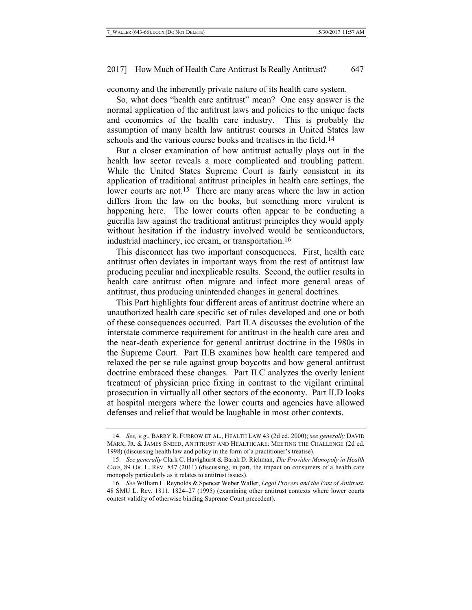economy and the inherently private nature of its health care system.

So, what does "health care antitrust" mean? One easy answer is the normal application of the antitrust laws and policies to the unique facts and economics of the health care industry. This is probably the assumption of many health law antitrust courses in United States law schools and the various course books and treatises in the field.<sup>14</sup>

<span id="page-4-1"></span><span id="page-4-0"></span>But a closer examination of how antitrust actually plays out in the health law sector reveals a more complicated and troubling pattern. While the United States Supreme Court is fairly consistent in its application of traditional antitrust principles in health care settings, the lower courts are not.<sup>15</sup> There are many areas where the law in action differs from the law on the books, but something more virulent is happening here. The lower courts often appear to be conducting a guerilla law against the traditional antitrust principles they would apply without hesitation if the industry involved would be semiconductors, industrial machinery, ice cream, or transportation.16

This disconnect has two important consequences. First, health care antitrust often deviates in important ways from the rest of antitrust law producing peculiar and inexplicable results. Second, the outlier results in health care antitrust often migrate and infect more general areas of antitrust, thus producing unintended changes in general doctrines.

This Part highlights four different areas of antitrust doctrine where an unauthorized health care specific set of rules developed and one or both of these consequences occurred. Part II.A discusses the evolution of the interstate commerce requirement for antitrust in the health care area and the near-death experience for general antitrust doctrine in the 1980s in the Supreme Court. Part II.B examines how health care tempered and relaxed the per se rule against group boycotts and how general antitrust doctrine embraced these changes. Part II.C analyzes the overly lenient treatment of physician price fixing in contrast to the vigilant criminal prosecution in virtually all other sectors of the economy. Part II.D looks at hospital mergers where the lower courts and agencies have allowed defenses and relief that would be laughable in most other contexts.

<sup>14.</sup> *See, e.g*., BARRY R. FURROW ET AL., HEALTH LAW 43 (2d ed. 2000); *see generally* DAVID MARX, JR. & JAMES SNEED, ANTITRUST AND HEALTHCARE: MEETING THE CHALLENGE (2d ed. 1998) (discussing health law and policy in the form of a practitioner's treatise).

<sup>15.</sup> *See generally* Clark C. Havighurst & Barak D. Richman, *The Provider Monopoly in Health Care*, 89 OR. L. REV. 847 (2011) (discussing, in part, the impact on consumers of a health care monopoly particularly as it relates to antitrust issues).

<sup>16.</sup> *See* William L. Reynolds & Spencer Weber Waller, *Legal Process and the Past of Antitrust*, 48 SMU L. Rev. 1811, 1824–27 (1995) (examining other antitrust contexts where lower courts contest validity of otherwise binding Supreme Court precedent).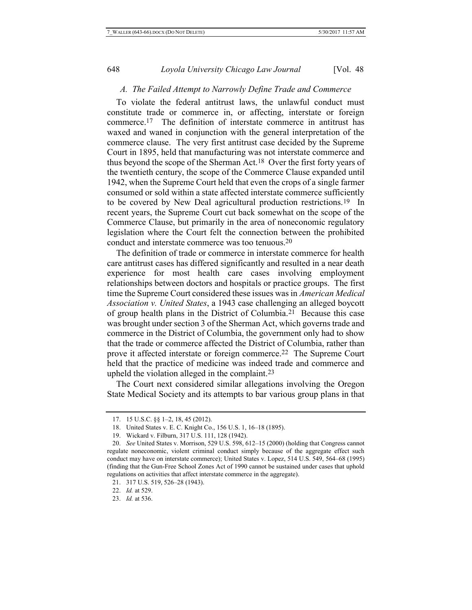#### *A. The Failed Attempt to Narrowly Define Trade and Commerce*

To violate the federal antitrust laws, the unlawful conduct must constitute trade or commerce in, or affecting, interstate or foreign commerce.17 The definition of interstate commerce in antitrust has waxed and waned in conjunction with the general interpretation of the commerce clause. The very first antitrust case decided by the Supreme Court in 1895, held that manufacturing was not interstate commerce and thus beyond the scope of the Sherman Act.18 Over the first forty years of the twentieth century, the scope of the Commerce Clause expanded until 1942, when the Supreme Court held that even the crops of a single farmer consumed or sold within a state affected interstate commerce sufficiently to be covered by New Deal agricultural production restrictions.19 In recent years, the Supreme Court cut back somewhat on the scope of the Commerce Clause, but primarily in the area of noneconomic regulatory legislation where the Court felt the connection between the prohibited conduct and interstate commerce was too tenuous.20

The definition of trade or commerce in interstate commerce for health care antitrust cases has differed significantly and resulted in a near death experience for most health care cases involving employment relationships between doctors and hospitals or practice groups. The first time the Supreme Court considered these issues was in *American Medical Association v. United States*, a 1943 case challenging an alleged boycott of group health plans in the District of Columbia.21 Because this case was brought under section 3 of the Sherman Act, which governs trade and commerce in the District of Columbia, the government only had to show that the trade or commerce affected the District of Columbia, rather than prove it affected interstate or foreign commerce.22 The Supreme Court held that the practice of medicine was indeed trade and commerce and upheld the violation alleged in the complaint.23

The Court next considered similar allegations involving the Oregon State Medical Society and its attempts to bar various group plans in that

<sup>17.</sup> 15 U.S.C. §§ 1–2, 18, 45 (2012).

<sup>18.</sup> United States v. E. C. Knight Co., 156 U.S. 1, 16–18 (1895).

<sup>19.</sup> Wickard v. Filburn, 317 U.S. 111, 128 (1942).

<sup>20.</sup> *See* United States v. Morrison, 529 U.S. 598, 612–15 (2000) (holding that Congress cannot regulate noneconomic, violent criminal conduct simply because of the aggregate effect such conduct may have on interstate commerce); United States v. Lopez, 514 U.S. 549, 564–68 (1995) (finding that the Gun-Free School Zones Act of 1990 cannot be sustained under cases that uphold regulations on activities that affect interstate commerce in the aggregate).

<sup>21.</sup> 317 U.S. 519, 526–28 (1943).

<sup>22.</sup> *Id.* at 529.

<sup>23.</sup> *Id.* at 536.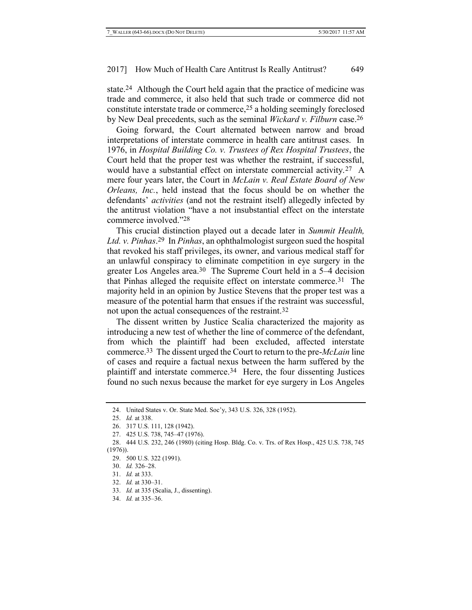state.24 Although the Court held again that the practice of medicine was trade and commerce, it also held that such trade or commerce did not constitute interstate trade or commerce,25 a holding seemingly foreclosed by New Deal precedents, such as the seminal *Wickard v. Filburn* case. 26

Going forward, the Court alternated between narrow and broad interpretations of interstate commerce in health care antitrust cases. In 1976, in *Hospital Building Co. v. Trustees of Rex Hospital Trustees*, the Court held that the proper test was whether the restraint, if successful, would have a substantial effect on interstate commercial activity.27 A mere four years later, the Court in *McLain v. Real Estate Board of New Orleans, Inc.*, held instead that the focus should be on whether the defendants' *activities* (and not the restraint itself) allegedly infected by the antitrust violation "have a not insubstantial effect on the interstate commerce involved."28

This crucial distinction played out a decade later in *Summit Health, Ltd. v. Pinhas*. 29 In *Pinhas*, an ophthalmologist surgeon sued the hospital that revoked his staff privileges, its owner, and various medical staff for an unlawful conspiracy to eliminate competition in eye surgery in the greater Los Angeles area.30 The Supreme Court held in a 5–4 decision that Pinhas alleged the requisite effect on interstate commerce.31 The majority held in an opinion by Justice Stevens that the proper test was a measure of the potential harm that ensues if the restraint was successful, not upon the actual consequences of the restraint.32

The dissent written by Justice Scalia characterized the majority as introducing a new test of whether the line of commerce of the defendant, from which the plaintiff had been excluded, affected interstate commerce.33 The dissent urged the Court to return to the pre-*McLain* line of cases and require a factual nexus between the harm suffered by the plaintiff and interstate commerce.34 Here, the four dissenting Justices found no such nexus because the market for eye surgery in Los Angeles

- 32. *Id.* at 330–31.
- 33. *Id.* at 335 (Scalia, J., dissenting).
- 34. *Id.* at 335–36.

<sup>24.</sup> United States v. Or. State Med. Soc'y, 343 U.S. 326, 328 (1952).

<sup>25.</sup> *Id.* at 338.

<sup>26.</sup> 317 U.S. 111, 128 (1942).

<sup>27.</sup> 425 U.S. 738, 745–47 (1976).

<sup>28.</sup> 444 U.S. 232, 246 (1980) (citing Hosp. Bldg. Co. v. Trs. of Rex Hosp., 425 U.S. 738, 745  $(1976)$ .

<sup>29.</sup> 500 U.S. 322 (1991).

<sup>30.</sup> *Id.* 326–28.

<sup>31.</sup> *Id.* at 333.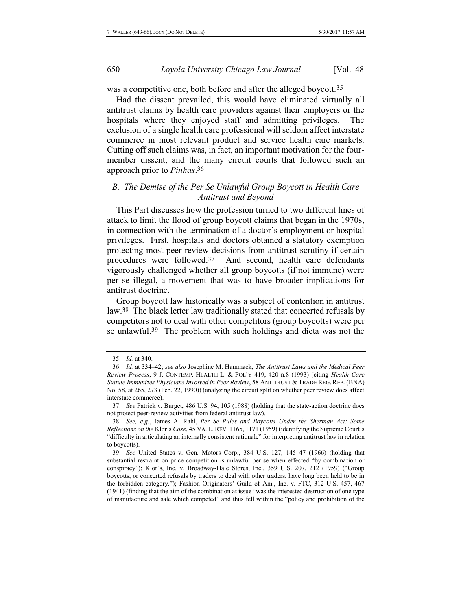was a competitive one, both before and after the alleged boycott.<sup>35</sup>

Had the dissent prevailed, this would have eliminated virtually all antitrust claims by health care providers against their employers or the hospitals where they enjoyed staff and admitting privileges. The exclusion of a single health care professional will seldom affect interstate commerce in most relevant product and service health care markets. Cutting off such claims was, in fact, an important motivation for the fourmember dissent, and the many circuit courts that followed such an approach prior to *Pinhas*. 36

# *B. The Demise of the Per Se Unlawful Group Boycott in Health Care Antitrust and Beyond*

This Part discusses how the profession turned to two different lines of attack to limit the flood of group boycott claims that began in the 1970s, in connection with the termination of a doctor's employment or hospital privileges. First, hospitals and doctors obtained a statutory exemption protecting most peer review decisions from antitrust scrutiny if certain procedures were followed.37 And second, health care defendants vigorously challenged whether all group boycotts (if not immune) were per se illegal, a movement that was to have broader implications for antitrust doctrine.

Group boycott law historically was a subject of contention in antitrust law.38 The black letter law traditionally stated that concerted refusals by competitors not to deal with other competitors (group boycotts) were per se unlawful.39 The problem with such holdings and dicta was not the

<sup>35.</sup> *Id.* at 340.

<sup>36.</sup> *Id.* at 334–42; *see also* Josephine M. Hammack, *The Antitrust Laws and the Medical Peer Review Process*, 9 J. CONTEMP. HEALTH L. & POL'Y 419, 420 n.8 (1993) (citing *Health Care Statute Immunizes Physicians Involved in Peer Review*, 58 ANTITRUST & TRADE REG. REP. (BNA) No. 58, at 265, 273 (Feb. 22, 1990)) (analyzing the circuit split on whether peer review does affect interstate commerce).

<sup>37.</sup> *See* Patrick v. Burget, 486 U.S. 94, 105 (1988) (holding that the state-action doctrine does not protect peer-review activities from federal antitrust law).

<sup>38.</sup> *See, e.g.*, James A. Rahl, *Per Se Rules and Boycotts Under the Sherman Act: Some Reflections on the* Klor's *Case*, 45 VA. L. REV. 1165, 1171 (1959) (identifying the Supreme Court's "difficulty in articulating an internally consistent rationale" for interpreting antitrust law in relation to boycotts).

<sup>39.</sup> *See* United States v. Gen. Motors Corp., 384 U.S. 127, 145–47 (1966) (holding that substantial restraint on price competition is unlawful per se when effected "by combination or conspiracy"); Klor's, Inc. v. Broadway-Hale Stores, Inc., 359 U.S. 207, 212 (1959) ("Group boycotts, or concerted refusals by traders to deal with other traders, have long been held to be in the forbidden category."); Fashion Originators' Guild of Am., Inc. v. FTC, 312 U.S. 457, 467 (1941) (finding that the aim of the combination at issue "was the interested destruction of one type of manufacture and sale which competed" and thus fell within the "policy and prohibition of the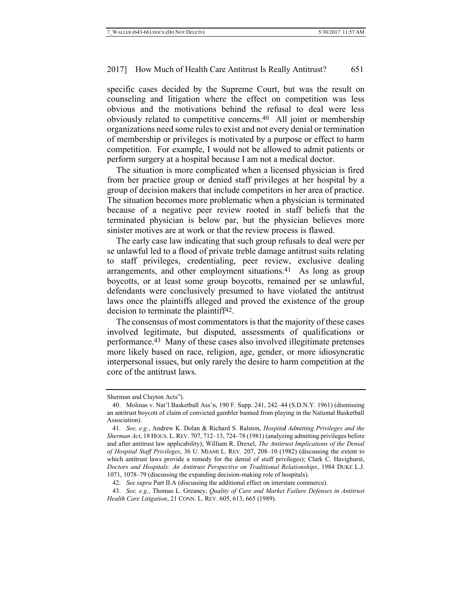specific cases decided by the Supreme Court, but was the result on counseling and litigation where the effect on competition was less obvious and the motivations behind the refusal to deal were less obviously related to competitive concerns.40 All joint or membership organizations need some rules to exist and not every denial or termination of membership or privileges is motivated by a purpose or effect to harm competition. For example, I would not be allowed to admit patients or perform surgery at a hospital because I am not a medical doctor.

The situation is more complicated when a licensed physician is fired from her practice group or denied staff privileges at her hospital by a group of decision makers that include competitors in her area of practice. The situation becomes more problematic when a physician is terminated because of a negative peer review rooted in staff beliefs that the terminated physician is below par, but the physician believes more sinister motives are at work or that the review process is flawed.

The early case law indicating that such group refusals to deal were per se unlawful led to a flood of private treble damage antitrust suits relating to staff privileges, credentialing, peer review, exclusive dealing arrangements, and other employment situations.41 As long as group boycotts, or at least some group boycotts, remained per se unlawful, defendants were conclusively presumed to have violated the antitrust laws once the plaintiffs alleged and proved the existence of the group decision to terminate the plaintiff<sup>42</sup>.

The consensus of most commentators is that the majority of these cases involved legitimate, but disputed, assessments of qualifications or performance.43 Many of these cases also involved illegitimate pretenses more likely based on race, religion, age, gender, or more idiosyncratic interpersonal issues, but only rarely the desire to harm competition at the core of the antitrust laws.

Sherman and Clayton Acts").

<sup>40.</sup> Molinas v. Nat'l Basketball Ass'n, 190 F. Supp. 241, 242–44 (S.D.N.Y. 1961) (dismissing an antitrust boycott of claim of convicted gambler banned from playing in the National Basketball Association).

<sup>41.</sup> *See, e.g.*, Andrew K. Dolan & Richard S. Ralston, *Hospital Admitting Privileges and the Sherman Act*, 18 HOUS. L.REV. 707, 712–13, 724–78 (1981) (analyzing admitting privileges before and after antitrust law applicability); William R. Drexel, *The Antitrust Implications of the Denial of Hospital Staff Privileges*, 36 U. MIAMI L. REV. 207, 208–10 (1982) (discussing the extent to which antitrust laws provide a remedy for the denial of staff privileges); Clark C. Havighurst, *Doctors and Hospitals: An Antitrust Perspective on Traditional Relationships*, 1984 DUKE L.J. 1071, 1078–79 (discussing the expanding decision-making role of hospitals).

<sup>42.</sup> *See supra* Part II.A (discussing the additional effect on interstate commerce).

<sup>43.</sup> *See, e.g.*, Thomas L. Greaney, *Quality of Care and Market Failure Defenses in Antitrust Health Care Litigation*, 21 CONN. L. REV. 605, 613, 665 (1989).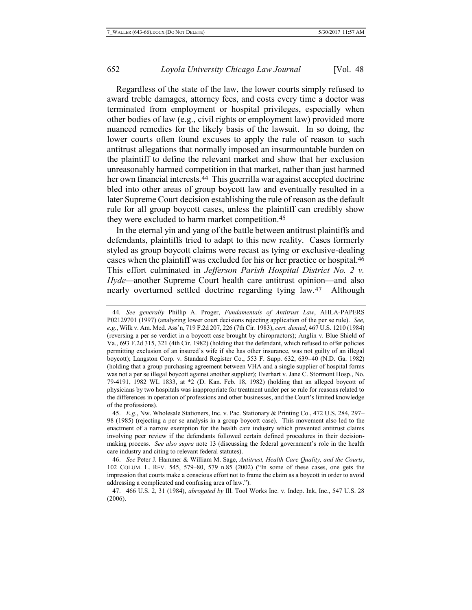Regardless of the state of the law, the lower courts simply refused to award treble damages, attorney fees, and costs every time a doctor was terminated from employment or hospital privileges, especially when other bodies of law (e.g., civil rights or employment law) provided more nuanced remedies for the likely basis of the lawsuit. In so doing, the lower courts often found excuses to apply the rule of reason to such antitrust allegations that normally imposed an insurmountable burden on the plaintiff to define the relevant market and show that her exclusion unreasonably harmed competition in that market, rather than just harmed her own financial interests.<sup>44</sup> This guerrilla war against accepted doctrine bled into other areas of group boycott law and eventually resulted in a later Supreme Court decision establishing the rule of reason as the default rule for all group boycott cases, unless the plaintiff can credibly show they were excluded to harm market competition.<sup>45</sup>

In the eternal yin and yang of the battle between antitrust plaintiffs and defendants, plaintiffs tried to adapt to this new reality. Cases formerly styled as group boycott claims were recast as tying or exclusive-dealing cases when the plaintiff was excluded for his or her practice or hospital.46 This effort culminated in *Jefferson Parish Hospital District No. 2 v. Hyde—*another Supreme Court health care antitrust opinion—and also nearly overturned settled doctrine regarding tying law.47 Although

<sup>44</sup>*. See generally* Phillip A. Proger, *Fundamentals of Antitrust Law*, AHLA-PAPERS P02129701 (1997) (analyzing lower court decisions rejecting application of the per se rule). *See, e.g.*, Wilk v. Am. Med. Ass'n, 719 F.2d 207, 226 (7th Cir. 1983), *cert. denied*, 467 U.S. 1210 (1984) (reversing a per se verdict in a boycott case brought by chiropractors); Anglin v. Blue Shield of Va., 693 F.2d 315, 321 (4th Cir. 1982) (holding that the defendant, which refused to offer policies permitting exclusion of an insured's wife if she has other insurance, was not guilty of an illegal boycott); Langston Corp. v. Standard Register Co., 553 F. Supp. 632, 639–40 (N.D. Ga. 1982) (holding that a group purchasing agreement between VHA and a single supplier of hospital forms was not a per se illegal boycott against another supplier); Everhart v. Jane C. Stormont Hosp., No. 79-4191, 1982 WL 1833, at \*2 (D. Kan. Feb. 18, 1982) (holding that an alleged boycott of physicians by two hospitals was inappropriate for treatment under per se rule for reasons related to the differences in operation of professions and other businesses, and the Court's limited knowledge of the professions).

<sup>45.</sup> *E.g.*, Nw. Wholesale Stationers, Inc. v. Pac. Stationary & Printing Co., 472 U.S. 284, 297– 98 (1985) (rejecting a per se analysis in a group boycott case).This movement also led to the enactment of a narrow exemption for the health care industry which prevented antitrust claims involving peer review if the defendants followed certain defined procedures in their decisionmaking process. *See also supra* note [13](#page-3-0) (discussing the federal government's role in the health care industry and citing to relevant federal statutes).

<sup>46.</sup> *See* Peter J. Hammer & William M. Sage, *Antitrust, Health Care Quality, and the Courts*, 102 COLUM. L. REV. 545, 579–80, 579 n.85 (2002) ("In some of these cases, one gets the impression that courts make a conscious effort not to frame the claim as a boycott in order to avoid addressing a complicated and confusing area of law.").

<sup>47.</sup> 466 U.S. 2, 31 (1984), *abrogated by* Ill. Tool Works Inc. v. Indep. Ink, Inc., 547 U.S. 28 (2006).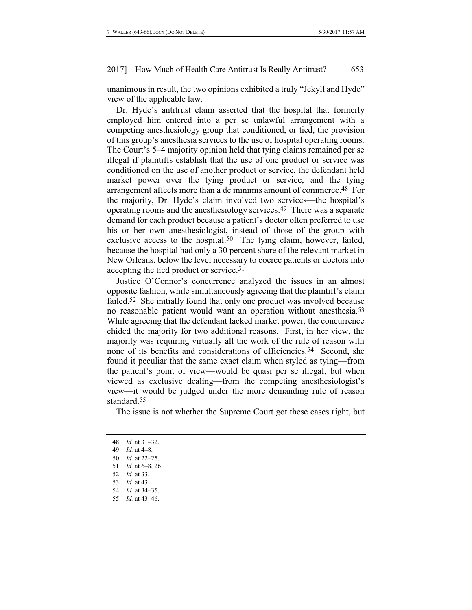unanimous in result, the two opinions exhibited a truly "Jekyll and Hyde" view of the applicable law.

Dr. Hyde's antitrust claim asserted that the hospital that formerly employed him entered into a per se unlawful arrangement with a competing anesthesiology group that conditioned, or tied, the provision of this group's anesthesia services to the use of hospital operating rooms. The Court's 5–4 majority opinion held that tying claims remained per se illegal if plaintiffs establish that the use of one product or service was conditioned on the use of another product or service, the defendant held market power over the tying product or service, and the tying arrangement affects more than a de minimis amount of commerce.48 For the majority, Dr. Hyde's claim involved two services—the hospital's operating rooms and the anesthesiology services. 49 There was a separate demand for each product because a patient's doctor often preferred to use his or her own anesthesiologist, instead of those of the group with exclusive access to the hospital.<sup>50</sup> The tying claim, however, failed, because the hospital had only a 30 percent share of the relevant market in New Orleans, below the level necessary to coerce patients or doctors into accepting the tied product or service.51

Justice O'Connor's concurrence analyzed the issues in an almost opposite fashion, while simultaneously agreeing that the plaintiff's claim failed.52 She initially found that only one product was involved because no reasonable patient would want an operation without anesthesia.53 While agreeing that the defendant lacked market power, the concurrence chided the majority for two additional reasons. First, in her view, the majority was requiring virtually all the work of the rule of reason with none of its benefits and considerations of efficiencies.54 Second, she found it peculiar that the same exact claim when styled as tying—from the patient's point of view—would be quasi per se illegal, but when viewed as exclusive dealing—from the competing anesthesiologist's view—it would be judged under the more demanding rule of reason standard.55

The issue is not whether the Supreme Court got these cases right, but

- 52. *Id.* at 33.
- 53. *Id.* at 43.
- 54. *Id.* at 34–35.
- 55. *Id.* at 43–46.

<sup>48.</sup> *Id.* at 31–32.

<sup>49.</sup> *Id.* at 4–8.

<sup>50.</sup> *Id.* at 22–25.

<sup>51.</sup> *Id.* at 6–8, 26.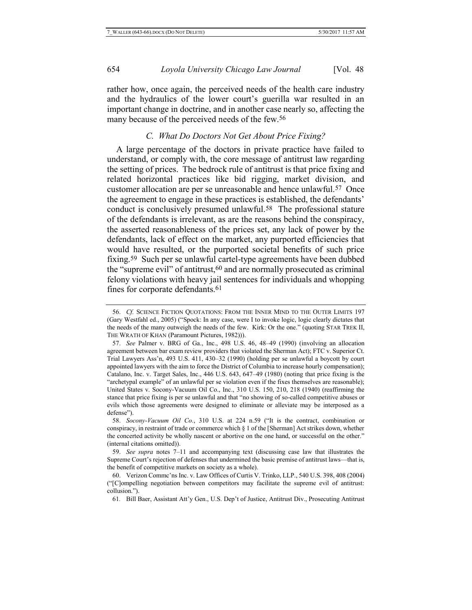rather how, once again, the perceived needs of the health care industry and the hydraulics of the lower court's guerilla war resulted in an important change in doctrine, and in another case nearly so, affecting the many because of the perceived needs of the few.56

# *C. What Do Doctors Not Get About Price Fixing?*

A large percentage of the doctors in private practice have failed to understand, or comply with, the core message of antitrust law regarding the setting of prices. The bedrock rule of antitrust is that price fixing and related horizontal practices like bid rigging, market division, and customer allocation are per se unreasonable and hence unlawful.57 Once the agreement to engage in these practices is established, the defendants' conduct is conclusively presumed unlawful.58 The professional stature of the defendants is irrelevant, as are the reasons behind the conspiracy, the asserted reasonableness of the prices set, any lack of power by the defendants, lack of effect on the market, any purported efficiencies that would have resulted, or the purported societal benefits of such price fixing.59 Such per se unlawful cartel-type agreements have been dubbed the "supreme evil" of antitrust, 60 and are normally prosecuted as criminal felony violations with heavy jail sentences for individuals and whopping fines for corporate defendants.<sup>61</sup>

<sup>56.</sup> *Cf.* SCIENCE FICTION QUOTATIONS: FROM THE INNER MIND TO THE OUTER LIMITS 197 (Gary Westfahl ed., 2005) ("Spock: In any case, were I to invoke logic, logic clearly dictates that the needs of the many outweigh the needs of the few. Kirk: Or the one." (quoting STAR TREK II, THE WRATH OF KHAN (Paramount Pictures, 1982))).

<sup>57.</sup> *See* Palmer v. BRG of Ga., Inc., 498 U.S. 46, 48–49 (1990) (involving an allocation agreement between bar exam review providers that violated the Sherman Act); FTC v. Superior Ct. Trial Lawyers Ass'n, 493 U.S. 411, 430–32 (1990) (holding per se unlawful a boycott by court appointed lawyers with the aim to force the District of Columbia to increase hourly compensation); Catalano, Inc. v. Target Sales, Inc., 446 U.S. 643, 647–49 (1980) (noting that price fixing is the "archetypal example" of an unlawful per se violation even if the fixes themselves are reasonable); United States v. Socony-Vacuum Oil Co., Inc., 310 U.S. 150, 210, 218 (1940) (reaffirming the stance that price fixing is per se unlawful and that "no showing of so-called competitive abuses or evils which those agreements were designed to eliminate or alleviate may be interposed as a defense").

<sup>58.</sup> *Socony-Vacuum Oil Co.*, 310 U.S. at 224 n.59 ("It is the contract, combination or conspiracy, in restraint of trade or commerce which § 1 of the [Sherman] Act strikes down, whether the concerted activity be wholly nascent or abortive on the one hand, or successful on the other." (internal citations omitted)).

<sup>59.</sup> *See supra* notes [7](#page-2-0)–[11](#page-3-1) and accompanying text (discussing case law that illustrates the Supreme Court's rejection of defenses that undermined the basic premise of antitrust laws—that is, the benefit of competitive markets on society as a whole).

<sup>60.</sup> Verizon Commc'ns Inc. v. Law Offices of Curtis V. Trinko, LLP., 540 U.S. 398, 408 (2004) ("[C]ompelling negotiation between competitors may facilitate the supreme evil of antitrust: collusion.").

<sup>61</sup>*.* Bill Baer, Assistant Att'y Gen., U.S. Dep't of Justice, Antitrust Div., Prosecuting Antitrust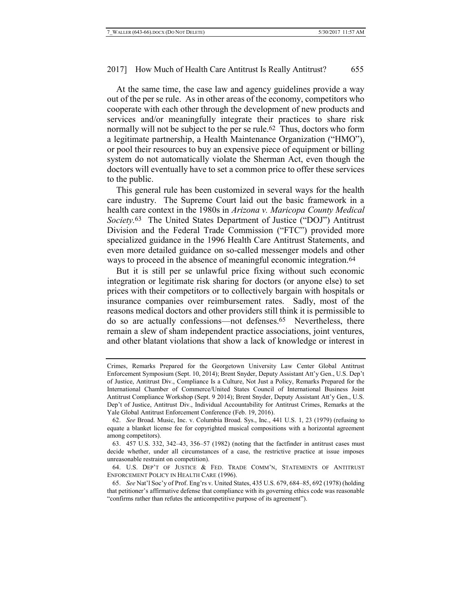At the same time, the case law and agency guidelines provide a way out of the per se rule. As in other areas of the economy, competitors who cooperate with each other through the development of new products and services and/or meaningfully integrate their practices to share risk normally will not be subject to the per se rule.62 Thus, doctors who form a legitimate partnership, a Health Maintenance Organization ("HMO"), or pool their resources to buy an expensive piece of equipment or billing system do not automatically violate the Sherman Act, even though the doctors will eventually have to set a common price to offer these services to the public.

This general rule has been customized in several ways for the health care industry. The Supreme Court laid out the basic framework in a health care context in the 1980s in *Arizona v. Maricopa County Medical Society.* 63 The United States Department of Justice ("DOJ") Antitrust Division and the Federal Trade Commission ("FTC") provided more specialized guidance in the 1996 Health Care Antitrust Statements, and even more detailed guidance on so-called messenger models and other ways to proceed in the absence of meaningful economic integration.<sup>64</sup>

But it is still per se unlawful price fixing without such economic integration or legitimate risk sharing for doctors (or anyone else) to set prices with their competitors or to collectively bargain with hospitals or insurance companies over reimbursement rates. Sadly, most of the reasons medical doctors and other providers still think it is permissible to do so are actually confessions—not defenses.65 Nevertheless, there remain a slew of sham independent practice associations, joint ventures, and other blatant violations that show a lack of knowledge or interest in

Crimes, Remarks Prepared for the Georgetown University Law Center Global Antitrust Enforcement Symposium (Sept. 10, 2014); Brent Snyder, Deputy Assistant Att'y Gen., U.S. Dep't of Justice, Antitrust Div., Compliance Is a Culture, Not Just a Policy, Remarks Prepared for the International Chamber of Commerce/United States Council of International Business Joint Antitrust Compliance Workshop (Sept. 9 2014); Brent Snyder, Deputy Assistant Att'y Gen., U.S. Dep't of Justice, Antitrust Div., Individual Accountability for Antitrust Crimes, Remarks at the Yale Global Antitrust Enforcement Conference (Feb. 19, 2016).

<sup>62.</sup> *See* Broad. Music, Inc. v. Columbia Broad. Sys., Inc., 441 U.S. 1, 23 (1979) (refusing to equate a blanket license fee for copyrighted musical compositions with a horizontal agreement among competitors).

<sup>63.</sup> 457 U.S. 332, 342–43, 356–57 (1982) (noting that the factfinder in antitrust cases must decide whether, under all circumstances of a case, the restrictive practice at issue imposes unreasonable restraint on competition).

<sup>64.</sup> U.S. DEP'T OF JUSTICE & FED. TRADE COMM'N, STATEMENTS OF ANTITRUST ENFORCEMENT POLICY IN HEALTH CARE (1996).

<sup>65.</sup> *See* Nat'l Soc'y of Prof. Eng'rs v. United States, 435 U.S. 679, 684–85, 692 (1978) (holding that petitioner's affirmative defense that compliance with its governing ethics code was reasonable "confirms rather than refutes the anticompetitive purpose of its agreement").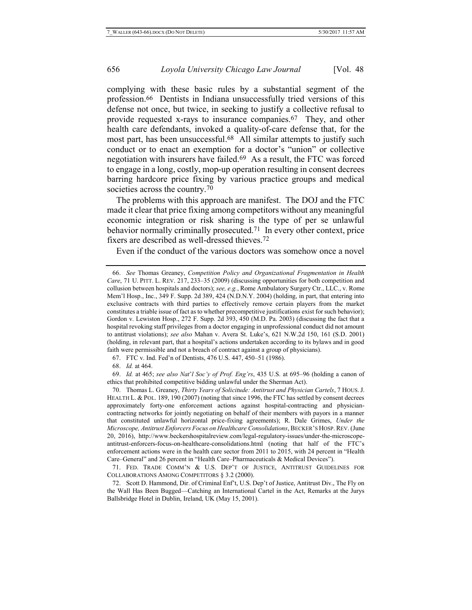complying with these basic rules by a substantial segment of the profession.66 Dentists in Indiana unsuccessfully tried versions of this defense not once, but twice, in seeking to justify a collective refusal to provide requested x-rays to insurance companies.67 They, and other health care defendants, invoked a quality-of-care defense that, for the most part, has been unsuccessful. 68 All similar attempts to justify such conduct or to enact an exemption for a doctor's "union" or collective negotiation with insurers have failed.69 As a result, the FTC was forced to engage in a long, costly, mop-up operation resulting in consent decrees barring hardcore price fixing by various practice groups and medical societies across the country.<sup>70</sup>

<span id="page-13-0"></span>The problems with this approach are manifest. The DOJ and the FTC made it clear that price fixing among competitors without any meaningful economic integration or risk sharing is the type of per se unlawful behavior normally criminally prosecuted.<sup>71</sup> In every other context, price fixers are described as well-dressed thieves.72

Even if the conduct of the various doctors was somehow once a novel

67. FTC v. Ind. Fed'n of Dentists, 476 U.S. 447, 450–51 (1986).

68. *Id.* at 464.

69. *Id.* at 465; *see also Nat*'*l Soc'y of Prof. Eng'rs*, 435 U.S. at 695–96 (holding a canon of ethics that prohibited competitive bidding unlawful under the Sherman Act).

71. FED. TRADE COMM'N & U.S. DEP'T OF JUSTICE, ANTITRUST GUIDELINES FOR COLLABORATIONS AMONG COMPETITORS § 3.2 (2000).

72. Scott D. Hammond, Dir. of Criminal Enf't, U.S. Dep't of Justice, Antitrust Div., The Fly on the Wall Has Been Bugged—Catching an International Cartel in the Act, Remarks at the Jurys Ballsbridge Hotel in Dublin, Ireland, UK (May 15, 2001).

<sup>66.</sup> *See* Thomas Greaney, *Competition Policy and Organizational Fragmentation in Health Care*, 71 U. PITT. L. REV. 217, 233–35 (2009) (discussing opportunities for both competition and collusion between hospitals and doctors); *see, e.g.*, Rome Ambulatory Surgery Ctr., LLC., v. Rome Mem'l Hosp., Inc., 349 F. Supp. 2d 389, 424 (N.D.N.Y. 2004) (holding, in part, that entering into exclusive contracts with third parties to effectively remove certain players from the market constitutes a triable issue of fact as to whether precompetitive justifications exist for such behavior); Gordon v. Lewiston Hosp., 272 F. Supp. 2d 393, 450 (M.D. Pa. 2003) (discussing the fact that a hospital revoking staff privileges from a doctor engaging in unprofessional conduct did not amount to antitrust violations); *see also* Mahan v. Avera St. Luke's, 621 N.W.2d 150, 161 (S.D. 2001) (holding, in relevant part, that a hospital's actions undertaken according to its bylaws and in good faith were permissible and not a breach of contract against a group of physicians).

<sup>70.</sup> Thomas L. Greaney, *Thirty Years of Solicitude: Antitrust and Physician Cartels*, 7 HOUS.J. HEALTH L. & POL. 189, 190 (2007) (noting that since 1996, the FTC has settled by consent decrees approximately forty-one enforcement actions against hospital-contracting and physiciancontracting networks for jointly negotiating on behalf of their members with payors in a manner that constituted unlawful horizontal price-fixing agreements); R. Dale Grimes, *Under the Microscope, Antitrust Enforcers Focus on Healthcare Consolidations*, BECKER'S HOSP. REV. (June 20, 2016), http://www.beckershospitalreview.com/legal-regulatory-issues/under-the-microscopeantitrust-enforcers-focus-on-healthcare-consolidations.html (noting that half of the FTC's enforcement actions were in the health care sector from 2011 to 2015, with 24 percent in "Health Care–General" and 26 percent in "Health Care–Pharmaceuticals & Medical Devices").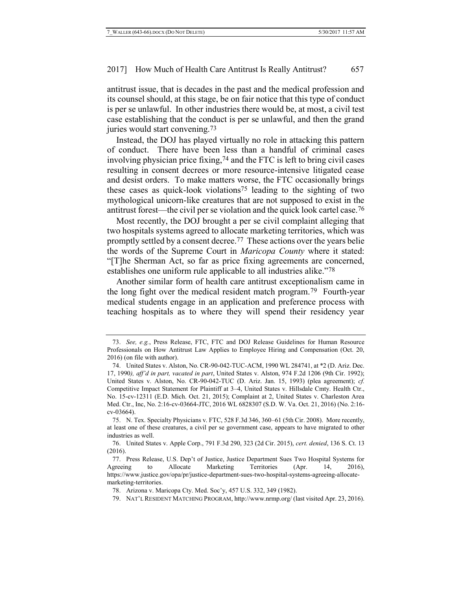antitrust issue, that is decades in the past and the medical profession and its counsel should, at this stage, be on fair notice that this type of conduct is per se unlawful. In other industries there would be, at most, a civil test case establishing that the conduct is per se unlawful, and then the grand juries would start convening.73

Instead, the DOJ has played virtually no role in attacking this pattern of conduct. There have been less than a handful of criminal cases involving physician price fixing, 74 and the FTC is left to bring civil cases resulting in consent decrees or more resource-intensive litigated cease and desist orders. To make matters worse, the FTC occasionally brings these cases as quick-look violations75 leading to the sighting of two mythological unicorn-like creatures that are not supposed to exist in the antitrust forest—the civil per se violation and the quick look cartel case.76

Most recently, the DOJ brought a per se civil complaint alleging that two hospitals systems agreed to allocate marketing territories, which was promptly settled by a consent decree.77 These actions over the years belie the words of the Supreme Court in *Maricopa County* where it stated: "[T]he Sherman Act, so far as price fixing agreements are concerned, establishes one uniform rule applicable to all industries alike."78

Another similar form of health care antitrust exceptionalism came in the long fight over the medical resident match program.79 Fourth-year medical students engage in an application and preference process with teaching hospitals as to where they will spend their residency year

<sup>73.</sup> *See, e.g.*, Press Release, FTC, FTC and DOJ Release Guidelines for Human Resource Professionals on How Antitrust Law Applies to Employee Hiring and Compensation (Oct. 20, 2016) (on file with author).

<sup>74.</sup> United States v. Alston, No. CR-90-042-TUC-ACM, 1990 WL 284741, at \*2 (D. Ariz. Dec. 17, 1990*), aff'd in part, vacated in part*, United States v. Alston, 974 F.2d 1206 (9th Cir. 1992); United States v. Alston, No. CR-90-042-TUC (D. Ariz. Jan. 15, 1993) (plea agreement); *cf.* Competitive Impact Statement for Plaintiff at 3–4, United States v. Hillsdale Cmty. Health Ctr., No. 15-cv-12311 (E.D. Mich. Oct. 21, 2015); Complaint at 2, United States v. Charleston Area Med. Ctr., Inc, No. 2:16-cv-03664-JTC, 2016 WL 6828307 (S.D. W. Va. Oct. 21, 2016) (No. 2:16 cv-03664).

<sup>75.</sup> N. Tex. Specialty Physicians v. FTC, 528 F.3d 346, 360–61 (5th Cir. 2008). More recently, at least one of these creatures, a civil per se government case, appears to have migrated to other industries as well.

<sup>76.</sup> United States v. Apple Corp., 791 F.3d 290, 323 (2d Cir. 2015), *cert. denied*, 136 S. Ct. 13 (2016).

<sup>77.</sup> Press Release, U.S. Dep't of Justice, Justice Department Sues Two Hospital Systems for Agreeing to Allocate Marketing Territories (Apr. 14, 2016), https://www.justice.gov/opa/pr/justice-department-sues-two-hospital-systems-agreeing-allocatemarketing-territories.

<sup>78.</sup> Arizona v. Maricopa Cty. Med. Soc'y, 457 U.S. 332, 349 (1982).

<sup>79.</sup> NAT'L RESIDENT MATCHING PROGRAM, http://www.nrmp.org/ (last visited Apr. 23, 2016).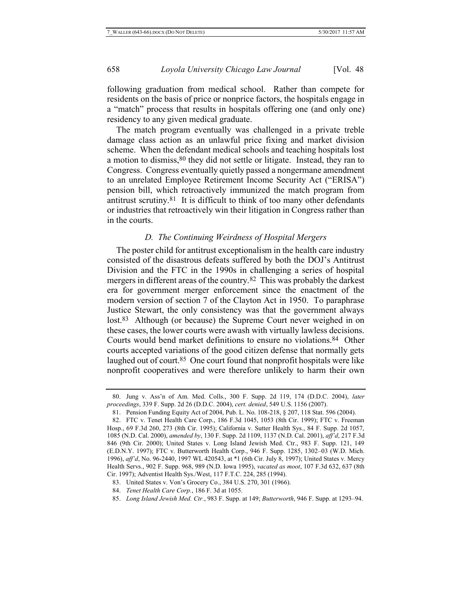following graduation from medical school. Rather than compete for residents on the basis of price or nonprice factors, the hospitals engage in a "match" process that results in hospitals offering one (and only one) residency to any given medical graduate.

The match program eventually was challenged in a private treble damage class action as an unlawful price fixing and market division scheme. When the defendant medical schools and teaching hospitals lost a motion to dismiss, 80 they did not settle or litigate. Instead, they ran to Congress. Congress eventually quietly passed a nongermane amendment to an unrelated Employee Retirement Income Security Act ("ERISA") pension bill, which retroactively immunized the match program from antitrust scrutiny.81 It is difficult to think of too many other defendants or industries that retroactively win their litigation in Congress rather than in the courts.

### *D. The Continuing Weirdness of Hospital Mergers*

The poster child for antitrust exceptionalism in the health care industry consisted of the disastrous defeats suffered by both the DOJ's Antitrust Division and the FTC in the 1990s in challenging a series of hospital mergers in different areas of the country.<sup>82</sup> This was probably the darkest era for government merger enforcement since the enactment of the modern version of section 7 of the Clayton Act in 1950. To paraphrase Justice Stewart, the only consistency was that the government always lost.<sup>83</sup> Although (or because) the Supreme Court never weighed in on these cases, the lower courts were awash with virtually lawless decisions. Courts would bend market definitions to ensure no violations.84 Other courts accepted variations of the good citizen defense that normally gets laughed out of court.<sup>85</sup> One court found that nonprofit hospitals were like nonprofit cooperatives and were therefore unlikely to harm their own

<sup>80.</sup> Jung v. Ass'n of Am. Med. Colls., 300 F. Supp. 2d 119, 174 (D.D.C. 2004), *later proceedings*, 339 F. Supp. 2d 26 (D.D.C. 2004), *cert. denied*, 549 U.S. 1156 (2007).

<sup>81.</sup> Pension Funding Equity Act of 2004, Pub. L. No. 108-218, § 207, 118 Stat. 596 (2004).

<sup>82.</sup> FTC v. Tenet Health Care Corp., 186 F.3d 1045, 1053 (8th Cir. 1999); FTC v. Freeman Hosp., 69 F.3d 260, 273 (8th Cir. 1995); California v. Sutter Health Sys., 84 F. Supp. 2d 1057, 1085 (N.D. Cal. 2000), *amended by*, 130 F. Supp. 2d 1109, 1137 (N.D. Cal. 2001), *aff'd*, 217 F.3d 846 (9th Cir. 2000); United States v. Long Island Jewish Med. Ctr., 983 F. Supp. 121, 149 (E.D.N.Y. 1997); FTC v. Butterworth Health Corp., 946 F. Supp. 1285, 1302–03 (W.D. Mich. 1996), *aff'd*, No. 96-2440, 1997 WL 420543, at \*1 (6th Cir. July 8, 1997); United States v. Mercy Health Servs., 902 F. Supp. 968, 989 (N.D. Iowa 1995), *vacated as moot*, 107 F.3d 632, 637 (8th Cir. 1997); Adventist Health Sys./West, 117 F.T.C. 224, 285 (1994).

<sup>83.</sup> United States v. Von's Grocery Co., 384 U.S. 270, 301 (1966).

<sup>84.</sup> *Tenet Health Care Corp.*, 186 F. 3d at 1055.

<sup>85.</sup> *Long Island Jewish Med. Ctr.*, 983 F. Supp. at 149; *Butterworth*, 946 F. Supp. at 1293–94.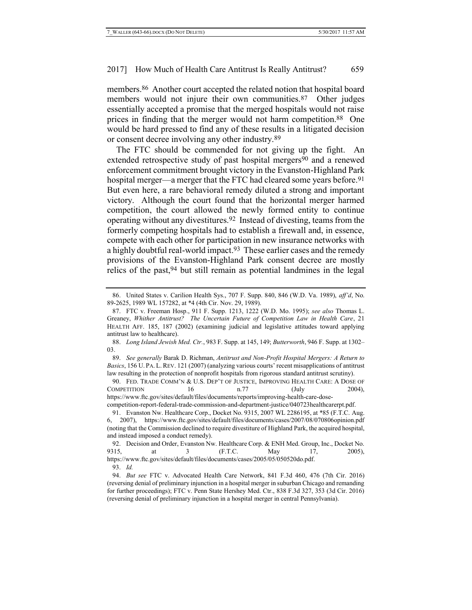members.86 Another court accepted the related notion that hospital board members would not injure their own communities.<sup>87</sup> Other judges essentially accepted a promise that the merged hospitals would not raise prices in finding that the merger would not harm competition.88 One would be hard pressed to find any of these results in a litigated decision or consent decree involving any other industry.89

The FTC should be commended for not giving up the fight. An extended retrospective study of past hospital mergers<sup>90</sup> and a renewed enforcement commitment brought victory in the Evanston-Highland Park hospital merger—a merger that the FTC had cleared some years before.<sup>91</sup> But even here, a rare behavioral remedy diluted a strong and important victory. Although the court found that the horizontal merger harmed competition, the court allowed the newly formed entity to continue operating without any divestitures.92 Instead of divesting, teams from the formerly competing hospitals had to establish a firewall and, in essence, compete with each other for participation in new insurance networks with a highly doubtful real-world impact.93 These earlier cases and the remedy provisions of the Evanston-Highland Park consent decree are mostly relics of the past,94 but still remain as potential landmines in the legal

89. *See generally* Barak D. Richman, *Antitrust and Non-Profit Hospital Mergers: A Return to Basics*, 156 U. PA. L. REV. 121 (2007) (analyzing various courts' recent misapplications of antitrust law resulting in the protection of nonprofit hospitals from rigorous standard antitrust scrutiny).

90. FED. TRADE COMM'N & U.S. DEP'T OF JUSTICE, IMPROVING HEALTH CARE: A DOSE OF  $COMPETITION$  16 n.77 (July 2004), https://www.ftc.gov/sites/default/files/documents/reports/improving-health-care-dosecompetition-report-federal-trade-commission-and-department-justice/040723healthcarerpt.pdf.

91. Evanston Nw. Healthcare Corp., Docket No. 9315, 2007 WL 2286195, at \*85 (F.T.C. Aug. 6, 2007), https://www.ftc.gov/sites/default/files/documents/cases/2007/08/070806opinion.pdf (noting that the Commission declined to require divestiture of Highland Park, the acquired hospital, and instead imposed a conduct remedy).

92. Decision and Order, Evanston Nw. Healthcare Corp. & ENH Med. Group, Inc., Docket No. 9315, at 3 (F.T.C. May 17, 2005), https://www.ftc.gov/sites/default/files/documents/cases/2005/05/050520do.pdf.

93. *Id.*

94. *But see* FTC v. Advocated Health Care Network, 841 F.3d 460, 476 (7th Cir. 2016) (reversing denial of preliminary injunction in a hospital merger in suburban Chicago and remanding for further proceedings); FTC v. Penn State Hershey Med. Ctr., 838 F.3d 327, 353 (3d Cir. 2016) (reversing denial of preliminary injunction in a hospital merger in central Pennsylvania).

<sup>86.</sup> United States v. Carilion Health Sys., 707 F. Supp. 840, 846 (W.D. Va. 1989), *aff'd*, No. 89-2625, 1989 WL 157282, at \*4 (4th Cir. Nov. 29, 1989).

<sup>87.</sup> FTC v. Freeman Hosp., 911 F. Supp. 1213, 1222 (W.D. Mo. 1995); *see also* Thomas L. Greaney, *Whither Antitrust? The Uncertain Future of Competition Law in Health Care*, 21 HEALTH AFF. 185, 187 (2002) (examining judicial and legislative attitudes toward applying antitrust law to healthcare).

<sup>88.</sup> *Long Island Jewish Med. Ctr.*, 983 F. Supp. at 145, 149; *Butterworth*, 946 F. Supp. at 1302– 03.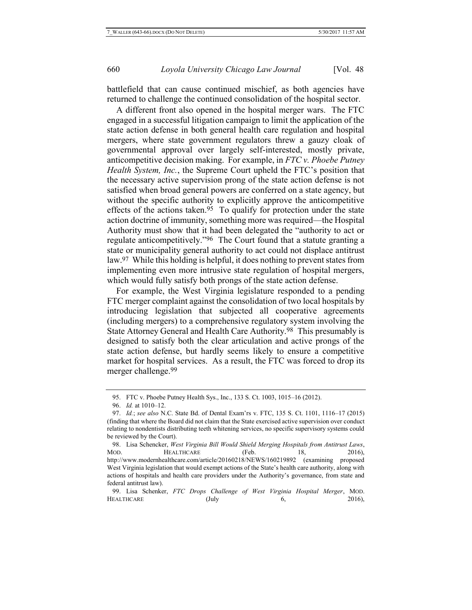battlefield that can cause continued mischief, as both agencies have returned to challenge the continued consolidation of the hospital sector.

A different front also opened in the hospital merger wars. The FTC engaged in a successful litigation campaign to limit the application of the state action defense in both general health care regulation and hospital mergers, where state government regulators threw a gauzy cloak of governmental approval over largely self-interested, mostly private, anticompetitive decision making. For example, in *FTC v. Phoebe Putney Health System, Inc.*, the Supreme Court upheld the FTC's position that the necessary active supervision prong of the state action defense is not satisfied when broad general powers are conferred on a state agency, but without the specific authority to explicitly approve the anticompetitive effects of the actions taken.<sup>95</sup> To qualify for protection under the state action doctrine of immunity, something more was required—the Hospital Authority must show that it had been delegated the "authority to act or regulate anticompetitively."96 The Court found that a statute granting a state or municipality general authority to act could not displace antitrust law. 97 While this holding is helpful, it does nothing to prevent states from implementing even more intrusive state regulation of hospital mergers, which would fully satisfy both prongs of the state action defense.

For example, the West Virginia legislature responded to a pending FTC merger complaint against the consolidation of two local hospitals by introducing legislation that subjected all cooperative agreements (including mergers) to a comprehensive regulatory system involving the State Attorney General and Health Care Authority.98 This presumably is designed to satisfy both the clear articulation and active prongs of the state action defense, but hardly seems likely to ensure a competitive market for hospital services. As a result, the FTC was forced to drop its merger challenge.99

<sup>95.</sup> FTC v. Phoebe Putney Health Sys., Inc., 133 S. Ct. 1003, 1015–16 (2012).

<sup>96.</sup> *Id.* at 1010–12.

<sup>97.</sup> *Id.*; *see also* N.C. State Bd. of Dental Exam'rs v. FTC, 135 S. Ct. 1101, 1116–17 (2015) (finding that where the Board did not claim that the State exercised active supervision over conduct relating to nondentists distributing teeth whitening services, no specific supervisory systems could be reviewed by the Court).

<sup>98.</sup> Lisa Schencker, *West Virginia Bill Would Shield Merging Hospitals from Antitrust Laws*, MOD. HEALTHCARE (Feb. 18, 2016), http://www.modernhealthcare.com/article/20160218/NEWS/160219892 (examining proposed West Virginia legislation that would exempt actions of the State's health care authority, along with actions of hospitals and health care providers under the Authority's governance, from state and federal antitrust law).

<sup>99.</sup> Lisa Schenker, *FTC Drops Challenge of West Virginia Hospital Merger*, MOD. HEALTHCARE (July 6, 2016),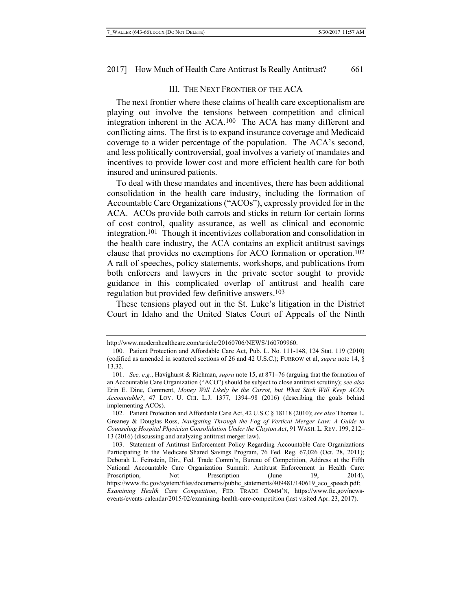#### III. THE NEXT FRONTIER OF THE ACA

The next frontier where these claims of health care exceptionalism are playing out involve the tensions between competition and clinical integration inherent in the ACA. 100 The ACA has many different and conflicting aims. The first is to expand insurance coverage and Medicaid coverage to a wider percentage of the population. The ACA's second, and less politically controversial, goal involves a variety of mandates and incentives to provide lower cost and more efficient health care for both insured and uninsured patients.

To deal with these mandates and incentives, there has been additional consolidation in the health care industry, including the formation of Accountable Care Organizations ("ACOs"), expressly provided for in the ACA. ACOs provide both carrots and sticks in return for certain forms of cost control, quality assurance, as well as clinical and economic integration.101 Though it incentivizes collaboration and consolidation in the health care industry, the ACA contains an explicit antitrust savings clause that provides no exemptions for ACO formation or operation.102 A raft of speeches, policy statements, workshops, and publications from both enforcers and lawyers in the private sector sought to provide guidance in this complicated overlap of antitrust and health care regulation but provided few definitive answers. 103

These tensions played out in the St. Luke's litigation in the District Court in Idaho and the United States Court of Appeals of the Ninth

http://www.modernhealthcare.com/article/20160706/NEWS/160709960.

<sup>100.</sup> Patient Protection and Affordable Care Act, Pub. L. No. 111-148, 124 Stat. 119 (2010) (codified as amended in scattered sections of 26 and 42 U.S.C.); FURROW et al, *supra* not[e 14,](#page-4-0) § 13.32.

<sup>101.</sup> *See, e.g.*, Havighurst & Richman, *supra* note [15,](#page-4-1) at 871–76 (arguing that the formation of an Accountable Care Organization ("ACO") should be subject to close antitrust scrutiny); *see also* Erin E. Dine, Comment, *Money Will Likely be the Carrot, but What Stick Will Keep ACOs Accountable?*, 47 LOY. U. CHI. L.J. 1377, 1394–98 (2016) (describing the goals behind implementing ACOs).

<sup>102.</sup> Patient Protection and Affordable Care Act, 42 U.S.C § 18118 (2010); *see also* Thomas L. Greaney & Douglas Ross, *Navigating Through the Fog of Vertical Merger Law: A Guide to Counseling Hospital Physician Consolidation Under the Clayton Act*, 91 WASH. L. REV. 199, 212– 13 (2016) (discussing and analyzing antitrust merger law).

<sup>103.</sup> Statement of Antitrust Enforcement Policy Regarding Accountable Care Organizations Participating In the Medicare Shared Savings Program, 76 Fed. Reg. 67,026 (Oct. 28, 2011); Deborah L. Feinstein, Dir., Fed. Trade Comm'n, Bureau of Competition, Address at the Fifth National Accountable Care Organization Summit: Antitrust Enforcement in Health Care: Proscription, Not Prescription (June 19, 2014), https://www.ftc.gov/system/files/documents/public\_statements/409481/140619\_aco\_speech.pdf; *Examining Health Care Competition*, FED. TRADE COMM'N, https://www.ftc.gov/newsevents/events-calendar/2015/02/examining-health-care-competition (last visited Apr. 23, 2017).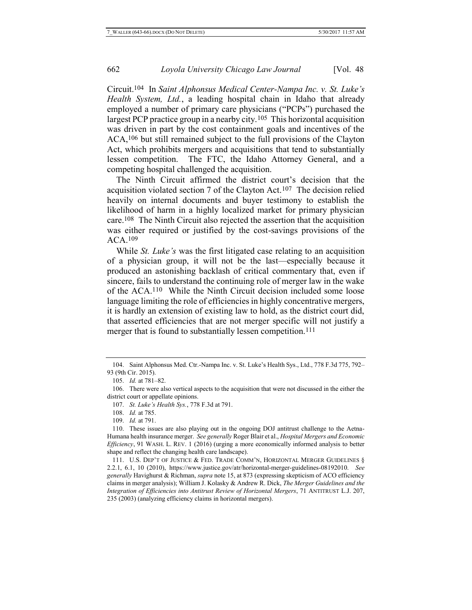Circuit.104 In *Saint Alphonsus Medical Center-Nampa Inc. v. St. Luke's Health System, Ltd.*, a leading hospital chain in Idaho that already employed a number of primary care physicians ("PCPs") purchased the largest PCP practice group in a nearby city.105 This horizontal acquisition was driven in part by the cost containment goals and incentives of the ACA,106 but still remained subject to the full provisions of the Clayton Act, which prohibits mergers and acquisitions that tend to substantially lessen competition. The FTC, the Idaho Attorney General, and a competing hospital challenged the acquisition.

The Ninth Circuit affirmed the district court's decision that the acquisition violated section 7 of the Clayton Act.107 The decision relied heavily on internal documents and buyer testimony to establish the likelihood of harm in a highly localized market for primary physician care.108 The Ninth Circuit also rejected the assertion that the acquisition was either required or justified by the cost-savings provisions of the ACA.109

While *St. Luke's* was the first litigated case relating to an acquisition of a physician group, it will not be the last—especially because it produced an astonishing backlash of critical commentary that, even if sincere, fails to understand the continuing role of merger law in the wake of the ACA.110 While the Ninth Circuit decision included some loose language limiting the role of efficiencies in highly concentrative mergers, it is hardly an extension of existing law to hold, as the district court did, that asserted efficiencies that are not merger specific will not justify a merger that is found to substantially lessen competition.111

109. *Id.* at 791.

<sup>104.</sup> Saint Alphonsus Med. Ctr.-Nampa Inc. v. St. Luke's Health Sys., Ltd., 778 F.3d 775, 792– 93 (9th Cir. 2015).

<sup>105.</sup> *Id.* at 781–82.

<sup>106.</sup> There were also vertical aspects to the acquisition that were not discussed in the either the district court or appellate opinions.

<sup>107.</sup> *St. Luke's Health Sys.*, 778 F.3d at 791.

<sup>108.</sup> *Id.* at 785.

<sup>110.</sup> These issues are also playing out in the ongoing DOJ antitrust challenge to the Aetna-Humana health insurance merger. *See generally* Roger Blair et al., *Hospital Mergers and Economic Efficiency*, 91 WASH. L. REV. 1 (2016) (urging a more economically informed analysis to better shape and reflect the changing health care landscape).

<sup>111.</sup> U.S. DEP'T OF JUSTICE & FED. TRADE COMM'N, HORIZONTAL MERGER GUIDELINES § 2.2.1, 6.1, 10 (2010), https://www.justice.gov/atr/horizontal-merger-guidelines-08192010. *See generally* Havighurst & Richman, *supra* not[e 15,](#page-4-1) at 873 (expressing skepticism of ACO efficiency claims in merger analysis); William J. Kolasky & Andrew R. Dick, *The Merger Guidelines and the Integration of Efficiencies into Antitrust Review of Horizontal Mergers*, 71 ANTITRUST L.J. 207, 235 (2003) (analyzing efficiency claims in horizontal mergers).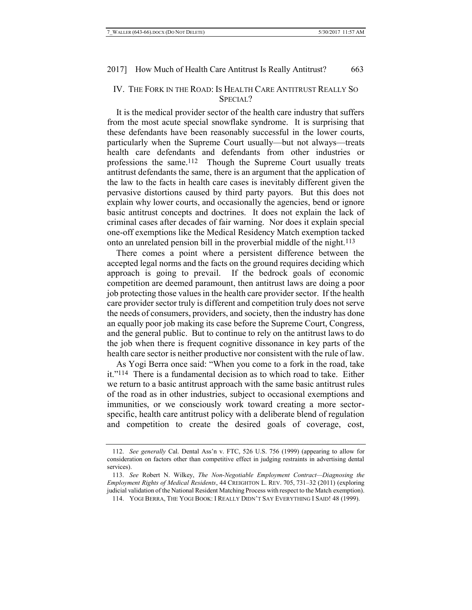# IV. THE FORK IN THE ROAD: IS HEALTH CARE ANTITRUST REALLY SO SPECIAL?

It is the medical provider sector of the health care industry that suffers from the most acute special snowflake syndrome. It is surprising that these defendants have been reasonably successful in the lower courts, particularly when the Supreme Court usually—but not always—treats health care defendants and defendants from other industries or professions the same. 112 Though the Supreme Court usually treats antitrust defendants the same, there is an argument that the application of the law to the facts in health care cases is inevitably different given the pervasive distortions caused by third party payors. But this does not explain why lower courts, and occasionally the agencies, bend or ignore basic antitrust concepts and doctrines. It does not explain the lack of criminal cases after decades of fair warning. Nor does it explain special one-off exemptions like the Medical Residency Match exemption tacked onto an unrelated pension bill in the proverbial middle of the night.113

There comes a point where a persistent difference between the accepted legal norms and the facts on the ground requires deciding which approach is going to prevail. If the bedrock goals of economic competition are deemed paramount, then antitrust laws are doing a poor job protecting those values in the health care provider sector. If the health care provider sector truly is different and competition truly does not serve the needs of consumers, providers, and society, then the industry has done an equally poor job making its case before the Supreme Court, Congress, and the general public. But to continue to rely on the antitrust laws to do the job when there is frequent cognitive dissonance in key parts of the health care sector is neither productive nor consistent with the rule of law.

As Yogi Berra once said: "When you come to a fork in the road, take it."114 There is a fundamental decision as to which road to take. Either we return to a basic antitrust approach with the same basic antitrust rules of the road as in other industries, subject to occasional exemptions and immunities, or we consciously work toward creating a more sectorspecific, health care antitrust policy with a deliberate blend of regulation and competition to create the desired goals of coverage, cost,

<sup>112.</sup> *See generally* Cal. Dental Ass'n v. FTC, 526 U.S. 756 (1999) (appearing to allow for consideration on factors other than competitive effect in judging restraints in advertising dental services).

<sup>113.</sup> *See* Robert N. Wilkey, *The Non-Negotiable Employment Contract—Diagnosing the Employment Rights of Medical Residents*, 44 CREIGHTON L. REV. 705, 731–32 (2011) (exploring judicial validation of the National Resident Matching Process with respect to the Match exemption).

<sup>114.</sup> YOGI BERRA, THE YOGI BOOK: I REALLY DIDN'T SAY EVERYTHING I SAID! 48 (1999).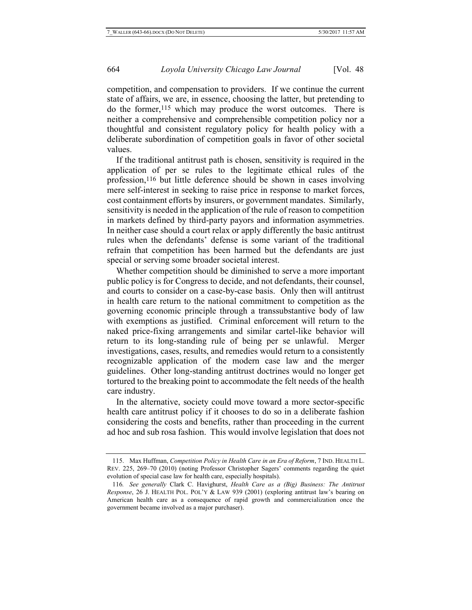competition, and compensation to providers. If we continue the current state of affairs, we are, in essence, choosing the latter, but pretending to do the former,115 which may produce the worst outcomes. There is neither a comprehensive and comprehensible competition policy nor a thoughtful and consistent regulatory policy for health policy with a deliberate subordination of competition goals in favor of other societal values.

If the traditional antitrust path is chosen, sensitivity is required in the application of per se rules to the legitimate ethical rules of the profession,116 but little deference should be shown in cases involving mere self-interest in seeking to raise price in response to market forces, cost containment efforts by insurers, or government mandates. Similarly, sensitivity is needed in the application of the rule of reason to competition in markets defined by third-party payors and information asymmetries. In neither case should a court relax or apply differently the basic antitrust rules when the defendants' defense is some variant of the traditional refrain that competition has been harmed but the defendants are just special or serving some broader societal interest.

Whether competition should be diminished to serve a more important public policy is for Congress to decide, and not defendants, their counsel, and courts to consider on a case-by-case basis. Only then will antitrust in health care return to the national commitment to competition as the governing economic principle through a transsubstantive body of law with exemptions as justified. Criminal enforcement will return to the naked price-fixing arrangements and similar cartel-like behavior will return to its long-standing rule of being per se unlawful. Merger investigations, cases, results, and remedies would return to a consistently recognizable application of the modern case law and the merger guidelines. Other long-standing antitrust doctrines would no longer get tortured to the breaking point to accommodate the felt needs of the health care industry.

In the alternative, society could move toward a more sector-specific health care antitrust policy if it chooses to do so in a deliberate fashion considering the costs and benefits, rather than proceeding in the current ad hoc and sub rosa fashion. This would involve legislation that does not

<sup>115.</sup> Max Huffman, *Competition Policy in Health Care in an Era of Reform*, 7 IND. HEALTH L. REV. 225, 269–70 (2010) (noting Professor Christopher Sagers' comments regarding the quiet evolution of special case law for health care, especially hospitals).

<sup>116</sup>*. See generally* Clark C. Havighurst, *Health Care as a (Big) Business: The Antitrust Response*, 26 J. HEALTH POL. POL'Y & LAW 939 (2001) (exploring antitrust law's bearing on American health care as a consequence of rapid growth and commercialization once the government became involved as a major purchaser).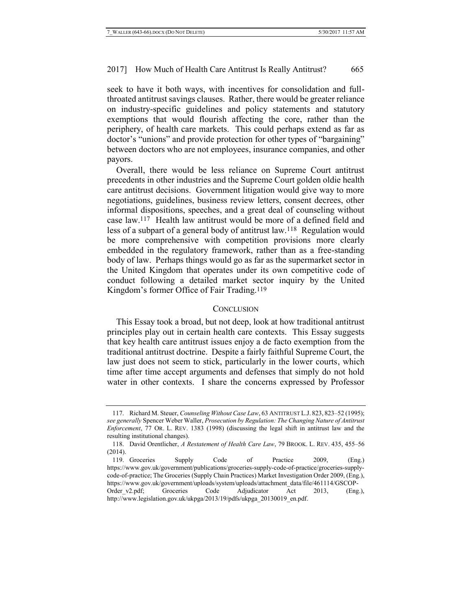seek to have it both ways, with incentives for consolidation and fullthroated antitrust savings clauses. Rather, there would be greater reliance on industry-specific guidelines and policy statements and statutory exemptions that would flourish affecting the core, rather than the periphery, of health care markets. This could perhaps extend as far as doctor's "unions" and provide protection for other types of "bargaining" between doctors who are not employees, insurance companies, and other payors.

Overall, there would be less reliance on Supreme Court antitrust precedents in other industries and the Supreme Court golden oldie health care antitrust decisions. Government litigation would give way to more negotiations, guidelines, business review letters, consent decrees, other informal dispositions, speeches, and a great deal of counseling without case law.117 Health law antitrust would be more of a defined field and less of a subpart of a general body of antitrust law.118 Regulation would be more comprehensive with competition provisions more clearly embedded in the regulatory framework, rather than as a free-standing body of law. Perhaps things would go as far as the supermarket sector in the United Kingdom that operates under its own competitive code of conduct following a detailed market sector inquiry by the United Kingdom's former Office of Fair Trading.119

#### **CONCLUSION**

This Essay took a broad, but not deep, look at how traditional antitrust principles play out in certain health care contexts. This Essay suggests that key health care antitrust issues enjoy a de facto exemption from the traditional antitrust doctrine. Despite a fairly faithful Supreme Court, the law just does not seem to stick, particularly in the lower courts, which time after time accept arguments and defenses that simply do not hold water in other contexts. I share the concerns expressed by Professor

<sup>117.</sup> Richard M. Steuer, *Counseling Without Case Law*, 63 ANTITRUST L.J. 823, 823–52 (1995); *see generally* Spencer Weber Waller, *Prosecution by Regulation: The Changing Nature of Antitrust Enforcement*, 77 OR. L. REV. 1383 (1998) (discussing the legal shift in antitrust law and the resulting institutional changes).

<sup>118.</sup> David Orentlicher, *A Restatement of Health Care Law*, 79 BROOK. L. REV. 435, 455–56 (2014).

<sup>119.</sup> Groceries Supply Code of Practice 2009, (Eng.) https://www.gov.uk/government/publications/groceries-supply-code-of-practice/groceries-supplycode-of-practice; The Groceries (Supply Chain Practices) Market Investigation Order 2009, (Eng.), https://www.gov.uk/government/uploads/system/uploads/attachment\_data/file/461114/GSCOP-Order v2.pdf; Groceries Code Adjudicator Act 2013, (Eng.), http://www.legislation.gov.uk/ukpga/2013/19/pdfs/ukpga\_20130019\_en.pdf.